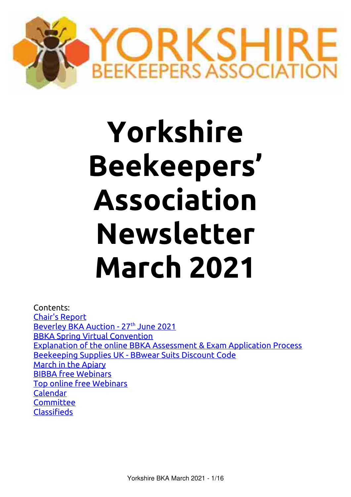

# **Yorkshire Beekeepers' Association Newsletter March 2021**

Contents: [Chair's Report](#page-1-0) Beverley BKA Auction - 27<sup>th</sup> June 2021 [BBKA Spring Virtual Convention](#page-2-0) [Explanation of the online BBKA Assessment & Exam Application Process](#page-3-0) [Beekeeping Supplies UK - BBwear Suits Discount Code](#page-5-0) [March in the Apiary](#page-6-0) [BIBBA free Webinars](#page-9-1) [Top online free Webinars](#page-9-0) [Calendar](#page-11-1) **[Committee](#page-11-0)** [Classifieds](#page-12-0)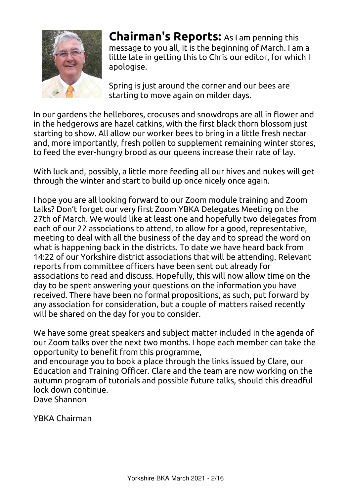

<span id="page-1-0"></span>**Chairman's Reports:** As I am penning this message to you all, it is the beginning of March. I am a little late in getting this to Chris our editor, for which I apologise.

Spring is just around the corner and our bees are starting to move again on milder days.

In our gardens the hellebores, crocuses and snowdrops are all in flower and in the hedgerows are hazel catkins, with the first black thorn blossom just starting to show. All allow our worker bees to bring in a little fresh nectar and, more importantly, fresh pollen to supplement remaining winter stores, to feed the ever-hungry brood as our queens increase their rate of lay.

With luck and, possibly, a little more feeding all our hives and nukes will get through the winter and start to build up once nicely once again.

I hope you are all looking forward to our Zoom module training and Zoom talks? Don't forget our very first Zoom YBKA Delegates Meeting on the 27th of March. We would like at least one and hopefully two delegates from each of our 22 associations to attend, to allow for a good, representative, meeting to deal with all the business of the day and to spread the word on what is happening back in the districts. To date we have heard back from 14:22 of our Yorkshire district associations that will be attending. Relevant reports from committee officers have been sent out already for associations to read and discuss. Hopefully, this will now allow time on the day to be spent answering your questions on the information you have received. There have been no formal propositions, as such, put forward by any association for consideration, but a couple of matters raised recently will be shared on the day for you to consider.

We have some great speakers and subject matter included in the agenda of our Zoom talks over the next two months. I hope each member can take the opportunity to benefit from this programme,

and encourage you to book a place through the links issued by Clare, our Education and Training Officer. Clare and the team are now working on the autumn program of tutorials and possible future talks, should this dreadful lock down continue.

Dave Shannon

YBKA Chairman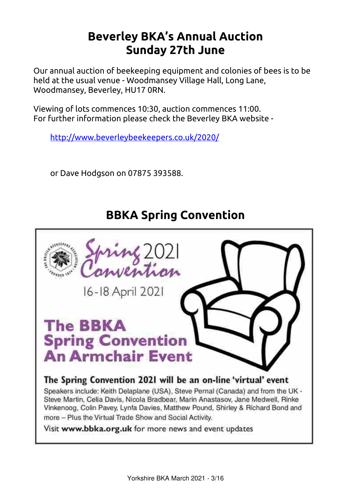# <span id="page-2-1"></span>**Beverley BKA's Annual Auction Sunday 27th June**

Our annual auction of beekeeping equipment and colonies of bees is to be held at the usual venue - Woodmansey Village Hall, Long Lane, Woodmansey, Beverley, HU17 0RN.

Viewing of lots commences 10:30, auction commences 11:00. For further information please check the Beverley BKA website -

http://www.beverleybeekeepers.co.uk/2020/

or Dave Hodgson on 07875 393588.

# <span id="page-2-0"></span>**BBKA Spring Convention**

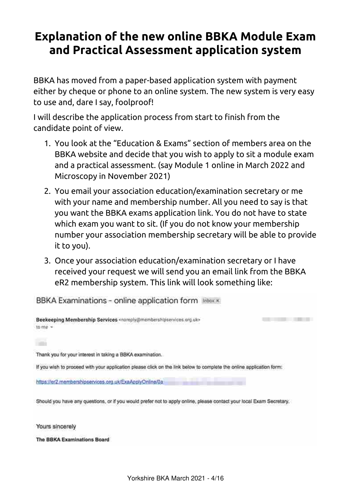# <span id="page-3-0"></span>**Explanation of the new online BBKA Module Exam and Practical Assessment application system**

BBKA has moved from a paper-based application system with payment either by cheque or phone to an online system. The new system is very easy to use and, dare I say, foolproof!

I will describe the application process from start to finish from the candidate point of view.

- 1. You look at the "Education & Exams" section of members area on the BBKA website and decide that you wish to apply to sit a module exam and a practical assessment. (say Module 1 online in March 2022 and Microscopy in November 2021)
- 2. You email your association education/examination secretary or me with your name and membership number. All you need to say is that you want the BBKA exams application link. You do not have to state which exam you want to sit. (If you do not know your membership number your association membership secretary will be able to provide it to you).
- 3. Once your association education/examination secretary or I have received your request we will send you an email link from the BBKA eR2 membership system. This link will look something like:

BBKA Examinations - online application form Inhox x



The BBKA Examinations Board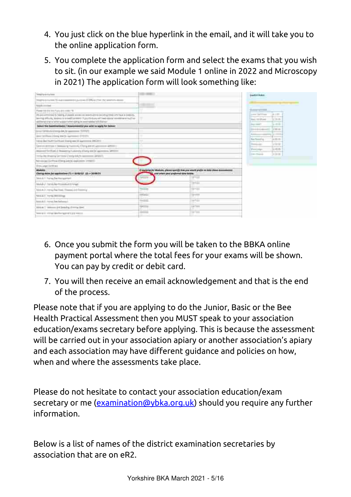- 4. You just click on the blue hyperlink in the email, and it will take you to the online application form.
- 5. You complete the application form and select the exams that you wish to sit. (in our example we said Module 1 online in 2022 and Microscopy in 2021) The application form will look something like:

| <b><i><u>Compility &amp; Conference</u></i></b>                                                                                                                                                                                             | <b>CREATIVE</b>                                                                                |                                                                                                                                         | <b>Ballishaw</b>                                                                                                  |
|---------------------------------------------------------------------------------------------------------------------------------------------------------------------------------------------------------------------------------------------|------------------------------------------------------------------------------------------------|-----------------------------------------------------------------------------------------------------------------------------------------|-------------------------------------------------------------------------------------------------------------------|
| many encourage to automate to payment (DW ex that the position stand).                                                                                                                                                                      |                                                                                                |                                                                                                                                         |                                                                                                                   |
| - est<br><b>Scott &amp; American</b>                                                                                                                                                                                                        |                                                                                                |                                                                                                                                         | _____                                                                                                             |
| Flame (10-Die tris Tyto-4-6-cold) "E-<br>increases of the division strength the form the da-                                                                                                                                                |                                                                                                |                                                                                                                                         | <b>Same of the A</b>                                                                                              |
| PA dol commissé SLNABA a Constitue accuso a secondame del colta (1944-1957) e a al costolita.<br>postoj prikula, koleku in kolekturene ili punto kuru altimed kolekturene mateur al-<br>Mittel-Parently with vehicles this morning (2.2) by |                                                                                                |                                                                                                                                         | 134.000<br><b>Allen and Company</b><br><b><i><u><u><u><b>A</b></u></u></u></i></b><br>1 Diff.<br>Henry Hill Women |
| bated the basemented / kostamented por with to apply for balenci                                                                                                                                                                            |                                                                                                |                                                                                                                                         | $3 - 2 - 1$<br><b>District Control</b>                                                                            |
| boundary to be a series of the Control of the American School                                                                                                                                                                               |                                                                                                |                                                                                                                                         | <b>International Activity</b><br>$11.24$ mm $-$<br>$\overline{ }$                                                 |
| just 12 Heat 23mg Wells agreemed 21074                                                                                                                                                                                                      | ÷                                                                                              |                                                                                                                                         | Almost<br>$\frac{1}{2}$                                                                                           |
|                                                                                                                                                                                                                                             | ÷                                                                                              |                                                                                                                                         | 日本市<br>Too Terriff's.                                                                                             |
| Services in the company from eq. Chry 24 Programmer 2002 c.<br>Import for that it though photonic distinguish speech of the US of                                                                                                           | $\frac{1}{2} \left( \frac{1}{2} \right) \left( \frac{1}{2} \right) \left( \frac{1}{2} \right)$ |                                                                                                                                         | Hermann<br>$1 + 10 = 10$<br><b><i><u>Bally Company Company</u></i></b><br>$11 - 22 =$<br>Production.              |
| CORPORATION CONTRACTOR CONTRACTOR                                                                                                                                                                                                           |                                                                                                |                                                                                                                                         | Louis Moulube<br>14.004                                                                                           |
| harves an including China and the application (1992).                                                                                                                                                                                       |                                                                                                |                                                                                                                                         |                                                                                                                   |
| <b><i><u>Provident contract</u></i></b>                                                                                                                                                                                                     |                                                                                                |                                                                                                                                         |                                                                                                                   |
| and the second control of the second con-<br>Check ease on manufacturers in a statement of the SECRET                                                                                                                                       |                                                                                                | E-harbying per Municipal glicesco sport@ Arm your would profits on follow chiese incommences<br>and senior your production days busine. |                                                                                                                   |
| dealed in Francis Deal Hannagement                                                                                                                                                                                                          | مساما                                                                                          | <b>COMPANY</b><br><b>Comment</b>                                                                                                        |                                                                                                                   |
| Model Forecast Procedurate Lands                                                                                                                                                                                                            |                                                                                                | <b>SHALL</b>                                                                                                                            |                                                                                                                   |
| his is at A Premay Paul Heatt, Shannon and Fernins's                                                                                                                                                                                        | 299                                                                                            | <b>SHIPS BY</b>                                                                                                                         |                                                                                                                   |
| SEARCHTHEAD                                                                                                                                                                                                                                 | <b>STANDS</b>                                                                                  | 50                                                                                                                                      |                                                                                                                   |
| home at all changes from backerages.                                                                                                                                                                                                        | $\equiv$ ili<br>--                                                                             | tempt<br>$-200$                                                                                                                         |                                                                                                                   |
| 10-b m 7 'Winness p 42p duby 2 vertex linet                                                                                                                                                                                                 | --<br>27                                                                                       | <b>ENTER</b>                                                                                                                            |                                                                                                                   |
| home is a complete discognize to per solar                                                                                                                                                                                                  | $\frac{1}{2}$                                                                                  | Contractor<br>$= -$                                                                                                                     |                                                                                                                   |

- 6. Once you submit the form you will be taken to the BBKA online payment portal where the total fees for your exams will be shown. You can pay by credit or debit card.
- 7. You will then receive an email acknowledgement and that is the end of the process.

Please note that if you are applying to do the Junior, Basic or the Bee Health Practical Assessment then you MUST speak to your association education/exams secretary before applying. This is because the assessment will be carried out in your association apiary or another association's apiary and each association may have different guidance and policies on how, when and where the assessments take place.

Please do not hesitate to contact your association education/exam secretary or me ([examination@ybka.org.uk](mailto:examination@ybka.org.uk)) should you require any further information.

Below is a list of names of the district examination secretaries by association that are on eR2.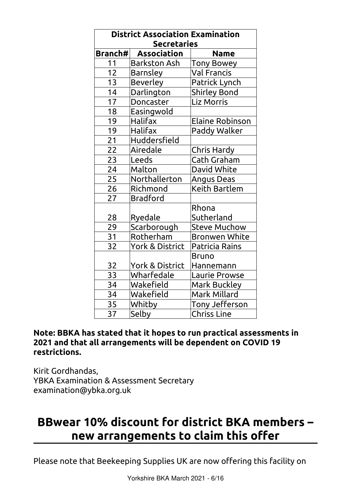| <b>District Association Examination</b><br><b>Secretaries</b> |                            |                      |  |
|---------------------------------------------------------------|----------------------------|----------------------|--|
| Branch#                                                       | <b>Association</b>         | <b>Name</b>          |  |
| 11                                                            | <b>Barkston Ash</b>        | <b>Tony Bowey</b>    |  |
| 12                                                            | <b>Barnsley</b>            | <b>Val Francis</b>   |  |
| 13                                                            | <b>Beverley</b>            | Patrick Lynch        |  |
| 14                                                            | Darlington                 | <b>Shirley Bond</b>  |  |
| 17                                                            | Doncaster                  | Liz Morris           |  |
| 18                                                            | Easingwold                 |                      |  |
| 19                                                            | Halifax                    | Elaine Robinson      |  |
| 19                                                            | Halifax                    | Paddy Walker         |  |
| 21                                                            | Huddersfield               |                      |  |
| 22                                                            | Airedale                   | Chris Hardy          |  |
| 23                                                            | Leeds                      | Cath Graham          |  |
| 24                                                            | Malton                     | David White          |  |
| 25                                                            | Northallerton              | Angus Deas           |  |
| 26                                                            | Richmond                   | Keith Bartlem        |  |
| 27                                                            | <b>Bradford</b>            |                      |  |
|                                                               |                            | Rhona                |  |
| 28                                                            | Ryedale                    | Sutherland           |  |
| 29                                                            | Scarborough                | <b>Steve Muchow</b>  |  |
| 31                                                            | Rotherham                  | <b>Bronwen White</b> |  |
| 32                                                            | <b>York &amp; District</b> | Patricia Rains       |  |
|                                                               |                            | Bruno                |  |
| 32                                                            | <b>York &amp; District</b> | Hannemann            |  |
| 33                                                            | Wharfedale                 | <b>Laurie Prowse</b> |  |
| 34                                                            | Wakefield                  | <b>Mark Buckley</b>  |  |
| 34                                                            | Wakefield                  | Mark Millard         |  |
| 35                                                            | Whitby                     | Tony Jefferson       |  |
| 37                                                            | Selby                      | <b>Chriss Line</b>   |  |

#### **Note: BBKA has stated that it hopes to run practical assessments in 2021 and that all arrangements will be dependent on COVID 19 restrictions.**

Kirit Gordhandas, YBKA Examination & Assessment Secretary examination@ybka.org.uk

# <span id="page-5-0"></span>**BBwear 10% discount for district BKA members – new arrangements to claim this offer**

Please note that Beekeeping Supplies UK are now offering this facility on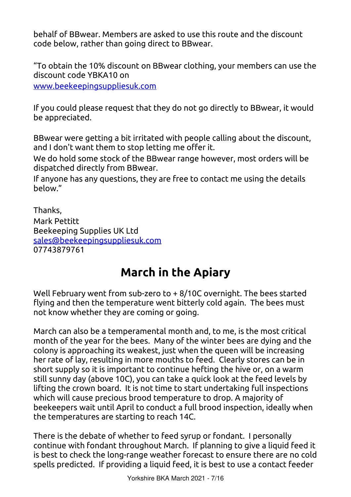behalf of BBwear. Members are asked to use this route and the discount code below, rather than going direct to BBwear.

"To obtain the 10% discount on BBwear clothing, your members can use the discount code YBKA10 on www.beekeepingsuppliesuk.com

If you could please request that they do not go directly to BBwear, it would be appreciated.

BBwear were getting a bit irritated with people calling about the discount, and I don't want them to stop letting me offer it.

We do hold some stock of the BBwear range however, most orders will be dispatched directly from BBwear.

If anyone has any questions, they are free to contact me using the details below."

Thanks, Mark Pettitt Beekeeping Supplies UK Ltd [sales@beekeepingsuppliesuk.com](mailto:sales@beekeepingsuppliesuk.com) 07743879761

# **March in the Apiary**

Well February went from sub-zero to + 8/10C overnight. The bees started flying and then the temperature went bitterly cold again. The bees must not know whether they are coming or going.

<span id="page-6-0"></span>March can also be a temperamental month and, to me, is the most critical month of the year for the bees. Many of the winter bees are dying and the colony is approaching its weakest, just when the queen will be increasing her rate of lay, resulting in more mouths to feed. Clearly stores can be in short supply so it is important to continue hefting the hive or, on a warm still sunny day (above 10C), you can take a quick look at the feed levels by lifting the crown board. It is not time to start undertaking full inspections which will cause precious brood temperature to drop. A majority of beekeepers wait until April to conduct a full brood inspection, ideally when the temperatures are starting to reach 14C.

There is the debate of whether to feed syrup or fondant. I personally continue with fondant throughout March. If planning to give a liquid feed it is best to check the long-range weather forecast to ensure there are no cold spells predicted. If providing a liquid feed, it is best to use a contact feeder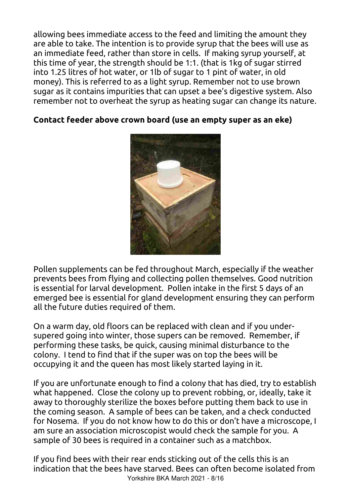allowing bees immediate access to the feed and limiting the amount they are able to take. The intention is to provide syrup that the bees will use as an immediate feed, rather than store in cells. If making syrup yourself, at this time of year, the strength should be 1:1. (that is 1kg of sugar stirred into 1.25 litres of hot water, or 1lb of sugar to 1 pint of water, in old money). This is referred to as a light syrup. Remember not to use brown sugar as it contains impurities that can upset a bee's digestive system. Also remember not to overheat the syrup as heating sugar can change its nature.

### **Contact feeder above crown board (use an empty super as an eke)**



Pollen supplements can be fed throughout March, especially if the weather prevents bees from flying and collecting pollen themselves. Good nutrition is essential for larval development. Pollen intake in the first 5 days of an emerged bee is essential for gland development ensuring they can perform all the future duties required of them.

On a warm day, old floors can be replaced with clean and if you undersupered going into winter, those supers can be removed. Remember, if performing these tasks, be quick, causing minimal disturbance to the colony. I tend to find that if the super was on top the bees will be occupying it and the queen has most likely started laying in it.

If you are unfortunate enough to find a colony that has died, try to establish what happened. Close the colony up to prevent robbing, or, ideally, take it away to thoroughly sterilize the boxes before putting them back to use in the coming season. A sample of bees can be taken, and a check conducted for Nosema. If you do not know how to do this or don't have a microscope, I am sure an association microscopist would check the sample for you. A sample of 30 bees is required in a container such as a matchbox.

If you find bees with their rear ends sticking out of the cells this is an indication that the bees have starved. Bees can often become isolated from Yorkshire BKA March 2021 - 8/16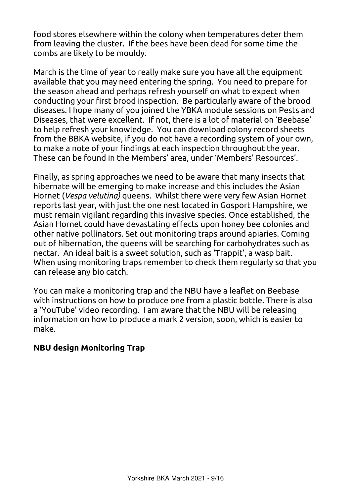food stores elsewhere within the colony when temperatures deter them from leaving the cluster. If the bees have been dead for some time the combs are likely to be mouldy.

March is the time of year to really make sure you have all the equipment available that you may need entering the spring. You need to prepare for the season ahead and perhaps refresh yourself on what to expect when conducting your first brood inspection. Be particularly aware of the brood diseases. I hope many of you joined the YBKA module sessions on Pests and Diseases, that were excellent. If not, there is a lot of material on 'Beebase' to help refresh your knowledge. You can download colony record sheets from the BBKA website, if you do not have a recording system of your own, to make a note of your findings at each inspection throughout the year. These can be found in the Members' area, under 'Members' Resources'.

Finally, as spring approaches we need to be aware that many insects that hibernate will be emerging to make increase and this includes the Asian Hornet (*Vespa velutina)* queens. Whilst there were very few Asian Hornet reports last year, with just the one nest located in Gosport Hampshire, we must remain vigilant regarding this invasive species. Once established, the Asian Hornet could have devastating effects upon honey bee colonies and other native pollinators. Set out monitoring traps around apiaries. Coming out of hibernation, the queens will be searching for carbohydrates such as nectar. An ideal bait is a sweet solution, such as 'Trappit', a wasp bait. When using monitoring traps remember to check them regularly so that you can release any bio catch.

You can make a monitoring trap and the NBU have a leaflet on Beebase with instructions on how to produce one from a plastic bottle. There is also a 'YouTube' video recording. I am aware that the NBU will be releasing information on how to produce a mark 2 version, soon, which is easier to make.

### **NBU design Monitoring Trap**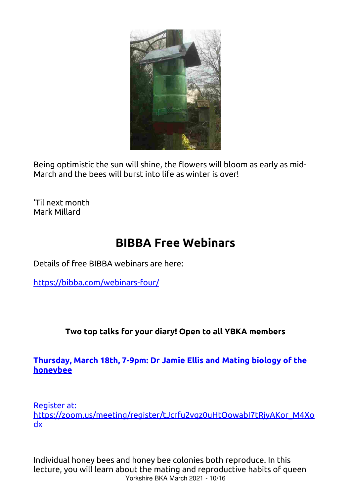

Being optimistic the sun will shine, the flowers will bloom as early as mid-March and the bees will burst into life as winter is over!

'Til next month Mark Millard

# **BIBBA Free Webinars**

Details of free BIBBA webinars are here:

<span id="page-9-1"></span><https://bibba.com/webinars-four/>

# **Two [top talks for your diary! Open to all YBKA members](mailto:sales@beekeepingsuppliesuk.com)**

### **[Thursday, March 18th, 7-9pm: Dr Jamie Ellis and Mating biology of the](mailto:sales@beekeepingsuppliesuk.com)  [honeybee](mailto:sales@beekeepingsuppliesuk.com)**

[Register at:](mailto:sales@beekeepingsuppliesuk.com) 

[https://zoom.us/meeting/register/tJcrfu2vqz0uHtOowabI7tRjyAKor\\_M4Xo](mailto:sales@beekeepingsuppliesuk.com) [dx](mailto:sales@beekeepingsuppliesuk.com)

<span id="page-9-0"></span>Individual honey bees and honey bee colonies both reproduce. In this lecture, you will learn about the mating and reproductive habits of queen Yorkshire BKA March 2021 - 10/16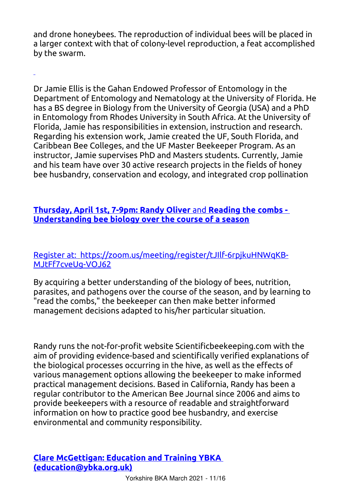and drone honeybees. The reproduction of individual bees will be placed in a larger context with that of colony-level reproduction, a feat accomplished by the swarm.

Dr Jamie Ellis is the Gahan Endowed Professor of Entomology in the Department of Entomology and Nematology at the University of Florida. He has a BS degree in Biology from the University of Georgia (USA) and a PhD in Entomology from Rhodes University in South Africa. At the University of Florida, Jamie has responsibilities in extension, instruction and research. Regarding his extension work, Jamie created the UF, South Florida, and Caribbean Bee Colleges, and the UF Master Beekeeper Program. As an instructor, Jamie supervises PhD and Masters students. Currently, Jamie and his team have over 30 active research projects in the fields of honey bee husbandry, conservation and ecology, and integrated crop pollination

#### **[Thursday, April 1st, 7-9pm: Randy Oliver](mailto:sales@beekeepingsuppliesuk.com)** and **Reading the combs - [Understanding bee biology over the course of a season](mailto:sales@beekeepingsuppliesuk.com)**

#### [Register at: https://zoom.us/meeting/register/tJIlf-6rpjkuHNWqKB-](mailto:sales@beekeepingsuppliesuk.com)[MJtFf7cveUg-VOJ62](mailto:sales@beekeepingsuppliesuk.com)

By acquiring a better understanding of the biology of bees, nutrition, parasites, and pathogens over the course of the season, and by learning to "read the combs," the beekeeper can then make better informed management decisions adapted to his/her particular situation.

Randy runs the not-for-profit website Scientificbeekeeping.com with the aim of providing evidence-based and scientifically verified explanations of the biological processes occurring in the hive, as well as the effects of various management options allowing the beekeeper to make informed practical management decisions. Based in California, Randy has been a regular contributor to the American Bee Journal since 2006 and aims to provide beekeepers with a resource of readable and straightforward information on how to practice good bee husbandry, and exercise environmental and community responsibility.

#### **[Clare McGettigan: Education and Training YBKA](mailto:sales@beekeepingsuppliesuk.com)  [\(education@ybka.org.uk\)](mailto:sales@beekeepingsuppliesuk.com)**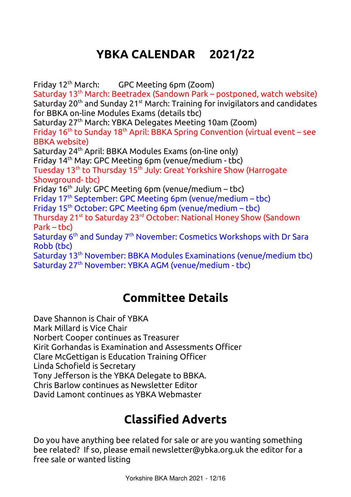# <span id="page-11-1"></span>**[YBKA CALENDAR 2021/22](mailto:sales@beekeepingsuppliesuk.com)**

Friday 12th [March: GPC Meeting 6pm \(Zoom\)](mailto:sales@beekeepingsuppliesuk.com) Saturday 13th [March: Beetradex \(Sandown Park – postponed, watch website\)](mailto:sales@beekeepingsuppliesuk.com) Saturday 20<sup>th</sup> and Sunday 21<sup>st</sup> [March: Training for invigilators and candidates](mailto:sales@beekeepingsuppliesuk.com) [for BBKA on-line Modules Exams \(details tbc\)](mailto:sales@beekeepingsuppliesuk.com) Saturday 27th [March: YBKA Delegates Meeting 10am \(Zoom\)](mailto:sales@beekeepingsuppliesuk.com) Friday  $16<sup>th</sup>$  to Sunday 18<sup>th</sup> [April: BBKA Spring Convention \(virtual event – see](mailto:sales@beekeepingsuppliesuk.com) [BBKA website\)](mailto:sales@beekeepingsuppliesuk.com) Saturday 24th [April: BBKA Modules Exams \(on-line only\)](mailto:sales@beekeepingsuppliesuk.com) Friday 14th [May: GPC Meeting 6pm \(venue/medium - tbc\)](mailto:sales@beekeepingsuppliesuk.com) Tuesday 13<sup>th</sup> to Thursday 15<sup>th</sup> July: Great Yorkshire Show (Harrogate [Showground- tbc\)](mailto:sales@beekeepingsuppliesuk.com) Friday  $16<sup>th</sup>$  July: GPC Meeting 6pm (venue/medium – tbc) Friday 17<sup>th</sup> [September: GPC Meeting 6pm \(venue/medium – tbc\)](mailto:sales@beekeepingsuppliesuk.com) Friday 15th [October: GPC Meeting 6pm \(venue/medium – tbc\)](mailto:sales@beekeepingsuppliesuk.com) Thursday 21st to Saturday 23rd [October: National Honey Show \(Sandown](mailto:sales@beekeepingsuppliesuk.com)  [Park – tbc\)](mailto:sales@beekeepingsuppliesuk.com) Saturday 6<sup>th</sup> and Sunday 7<sup>th</sup> November: Cosmetics Workshops with Dr Sara [Robb \(tbc\)](mailto:sales@beekeepingsuppliesuk.com) Saturday 13th [November: BBKA Modules Examinations \(venue/medium tbc\)](mailto:sales@beekeepingsuppliesuk.com) Saturday 27th [November: YBKA AGM \(venue/medium - tbc\)](mailto:sales@beekeepingsuppliesuk.com) 

# **[Committee Details](mailto:sales@beekeepingsuppliesuk.com)**

[Dave Shannon is Chair of YBKA](mailto:sales@beekeepingsuppliesuk.com)

[Mark Millard is Vice Chair](mailto:sales@beekeepingsuppliesuk.com)

[Norbert Cooper continues as Treasurer](mailto:sales@beekeepingsuppliesuk.com)

[Kirit Gorhandas is Examination and Assessments Officer](mailto:sales@beekeepingsuppliesuk.com) 

[Clare McGettigan is Education Training Officer](mailto:sales@beekeepingsuppliesuk.com) 

[Linda Schofield is Secretary](mailto:sales@beekeepingsuppliesuk.com) 

[Tony Jefferson is the YBKA Delegate to BBKA.](mailto:sales@beekeepingsuppliesuk.com)

[Chris Barlow continues as Newsletter Editor](mailto:sales@beekeepingsuppliesuk.com)

<span id="page-11-0"></span>[David Lamont continues as YBKA Webmaster](mailto:sales@beekeepingsuppliesuk.com)

# **[Classified Adverts](mailto:sales@beekeepingsuppliesuk.com)**

[Do you have anything bee related for sale or are you wanting something](mailto:sales@beekeepingsuppliesuk.com)  [bee related? If so, please email newsletter@ybka.org.uk the editor for a](mailto:sales@beekeepingsuppliesuk.com)  [free sale or wanted listing](mailto:sales@beekeepingsuppliesuk.com)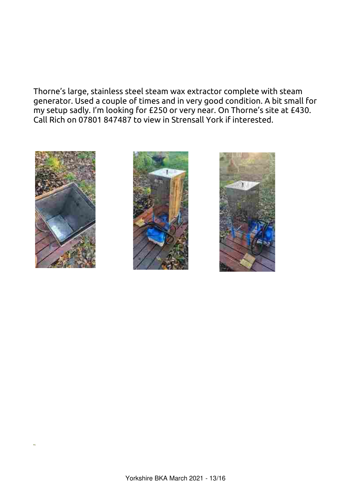<span id="page-12-0"></span>Thorne's large, stainless steel steam wax extractor complete with steam generator. Used a couple of times and in very good condition. A bit small for my setup sadly. I'm looking for £250 or very near. On Thorne's site at £430. Call Rich on 07801 847487 to view in Strensall York if interested.





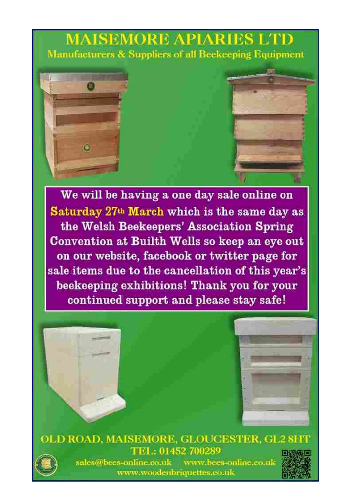# **MAISEMORE APIARI** Manufacturers & Suppliers of all Beekeeping Equipment



We will be having a one day sale online on Saturday 27th March which is the same day as the Welsh Beekeepers' Association Spring Convention at Builth Wells so keep an eye out on our website, facebook or twitter page for sale items due to the cancellation of this year's beekeeping exhibitions! Thank you for your continued support and please stay safe!







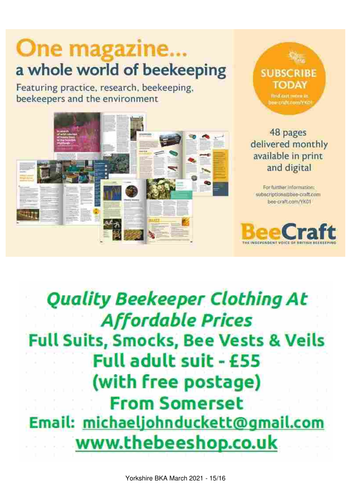# One magazine... a whole world of beekeeping

Featuring practice, research, beekeeping, beekeepers and the environment





# 48 pages delivered monthly available in print and digital

For further information: subscriptions@bue-craft.com bee-craft.com/YK01



# **Quality Beekeeper Clothing At Affordable Prices Full Suits, Smocks, Bee Vests & Veils** Full adult suit - £55 (with free postage) **From Somerset** Email: michaeljohnduckett@gmail.com www.thebeeshop.co.uk